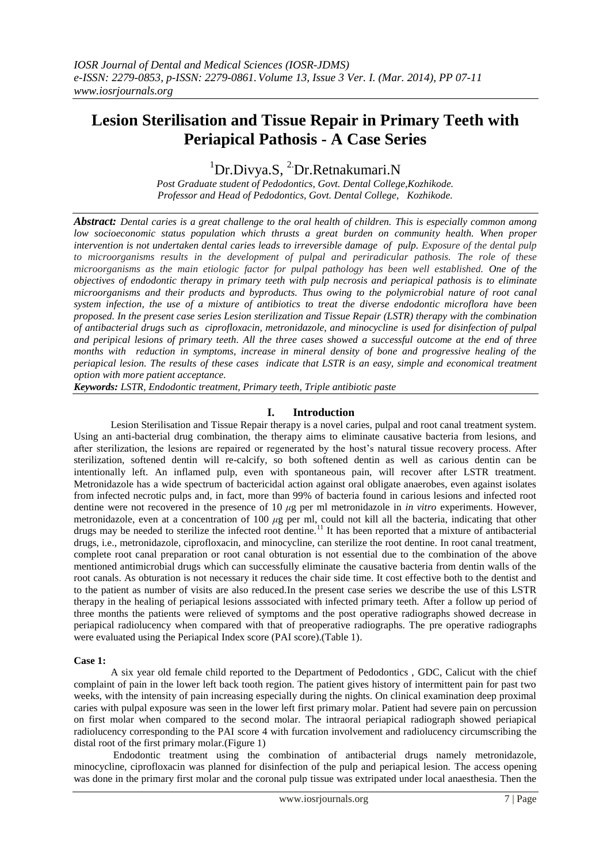# **Lesion Sterilisation and Tissue Repair in Primary Teeth with Periapical Pathosis - A Case Series**

 ${}^{1}$ Dr.Divya.S,  ${}^{2}$ Dr.Retnakumari.N

*Post Graduate student of Pedodontics, Govt. Dental College,Kozhikode. Professor and Head of Pedodontics, Govt. Dental College, Kozhikode.*

*Abstract: Dental caries is a great challenge to the oral health of children. This is especially common among*  low socioeconomic status population which thrusts a great burden on community health. When proper *intervention is not undertaken dental caries leads to irreversible damage of pulp. Exposure of the dental pulp to microorganisms results in the development of pulpal and periradicular pathosis. The role of these microorganisms as the main etiologic factor for pulpal pathology has been well established. One of the objectives of endodontic therapy in primary teeth with pulp necrosis and periapical pathosis is to eliminate microorganisms and their products and byproducts. Thus owing to the polymicrobial nature of root canal system infection, the use of a mixture of antibiotics to treat the diverse endodontic microflora have been proposed. In the present case series Lesion sterilization and Tissue Repair (LSTR) therapy with the combination of antibacterial drugs such as ciprofloxacin, metronidazole, and minocycline is used for disinfection of pulpal and peripical lesions of primary teeth. All the three cases showed a successful outcome at the end of three months with reduction in symptoms, increase in mineral density of bone and progressive healing of the periapical lesion. The results of these cases indicate that LSTR is an easy, simple and economical treatment option with more patient acceptance.*

*Keywords: LSTR, Endodontic treatment, Primary teeth, Triple antibiotic paste*

## **I. Introduction**

Lesion Sterilisation and Tissue Repair therapy is a novel caries, pulpal and root canal treatment system. Using an anti-bacterial drug combination, the therapy aims to eliminate causative bacteria from lesions, and after sterilization, the lesions are repaired or regenerated by the host's natural tissue recovery process. After sterilization, softened dentin will re-calcify, so both softened dentin as well as carious dentin can be intentionally left. An inflamed pulp, even with spontaneous pain, will recover after LSTR treatment. Metronidazole has a wide spectrum of bactericidal action against oral obligate anaerobes, even against isolates from infected necrotic pulps and, in fact, more than 99% of bacteria found in carious lesions and infected root dentine were not recovered in the presence of 10 *μ*g per ml metronidazole in *in vitro* experiments. However, metronidazole, even at a concentration of 100 *μ*g per ml, could not kill all the bacteria, indicating that other drugs may be needed to sterilize the infected root dentine.<sup>11</sup> It has been reported that a mixture of antibacterial drugs, i.e., metronidazole, ciprofloxacin, and minocycline, can sterilize the root dentine. In root canal treatment, complete root canal preparation or root canal obturation is not essential due to the combination of the above mentioned antimicrobial drugs which can successfully eliminate the causative bacteria from dentin walls of the root canals. As obturation is not necessary it reduces the chair side time. It cost effective both to the dentist and to the patient as number of visits are also reduced.In the present case series we describe the use of this LSTR therapy in the healing of periapical lesions asssociated with infected primary teeth. After a follow up period of three months the patients were relieved of symptoms and the post operative radiographs showed decrease in periapical radiolucency when compared with that of preoperative radiographs. The pre operative radiographs were evaluated using the Periapical Index score (PAI score).(Table 1).

### **Case 1:**

A six year old female child reported to the Department of Pedodontics , GDC, Calicut with the chief complaint of pain in the lower left back tooth region. The patient gives history of intermittent pain for past two weeks, with the intensity of pain increasing especially during the nights. On clinical examination deep proximal caries with pulpal exposure was seen in the lower left first primary molar. Patient had severe pain on percussion on first molar when compared to the second molar. The intraoral periapical radiograph showed periapical radiolucency corresponding to the PAI score 4 with furcation involvement and radiolucency circumscribing the distal root of the first primary molar.(Figure 1)

Endodontic treatment using the combination of antibacterial drugs namely metronidazole, minocycline, ciprofloxacin was planned for disinfection of the pulp and periapical lesion. The access opening was done in the primary first molar and the coronal pulp tissue was extripated under local anaesthesia. Then the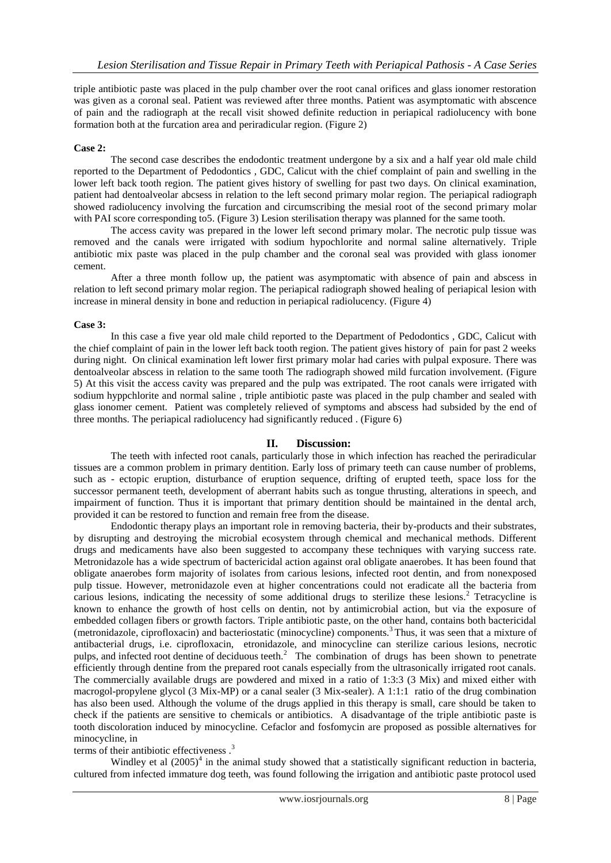triple antibiotic paste was placed in the pulp chamber over the root canal orifices and glass ionomer restoration was given as a coronal seal. Patient was reviewed after three months. Patient was asymptomatic with abscence of pain and the radiograph at the recall visit showed definite reduction in periapical radiolucency with bone formation both at the furcation area and periradicular region. (Figure 2)

### **Case 2:**

The second case describes the endodontic treatment undergone by a six and a half year old male child reported to the Department of Pedodontics , GDC, Calicut with the chief complaint of pain and swelling in the lower left back tooth region. The patient gives history of swelling for past two days. On clinical examination, patient had dentoalveolar abcsess in relation to the left second primary molar region. The periapical radiograph showed radiolucency involving the furcation and circumscribing the mesial root of the second primary molar with PAI score corresponding to 5. (Figure 3) Lesion sterilisation therapy was planned for the same tooth.

The access cavity was prepared in the lower left second primary molar. The necrotic pulp tissue was removed and the canals were irrigated with sodium hypochlorite and normal saline alternatively. Triple antibiotic mix paste was placed in the pulp chamber and the coronal seal was provided with glass ionomer cement.

After a three month follow up, the patient was asymptomatic with absence of pain and abscess in relation to left second primary molar region. The periapical radiograph showed healing of periapical lesion with increase in mineral density in bone and reduction in periapical radiolucency. (Figure 4)

### **Case 3:**

In this case a five year old male child reported to the Department of Pedodontics , GDC, Calicut with the chief complaint of pain in the lower left back tooth region. The patient gives history of pain for past 2 weeks during night. On clinical examination left lower first primary molar had caries with pulpal exposure. There was dentoalveolar abscess in relation to the same tooth The radiograph showed mild furcation involvement. (Figure 5) At this visit the access cavity was prepared and the pulp was extripated. The root canals were irrigated with sodium hyppchlorite and normal saline , triple antibiotic paste was placed in the pulp chamber and sealed with glass ionomer cement. Patient was completely relieved of symptoms and abscess had subsided by the end of three months. The periapical radiolucency had significantly reduced . (Figure 6)

### **II. Discussion:**

The teeth with infected root canals, particularly those in which infection has reached the periradicular tissues are a common problem in primary dentition. Early loss of primary teeth can cause number of problems, such as - ectopic eruption, disturbance of eruption sequence, drifting of erupted teeth, space loss for the successor permanent teeth, development of aberrant habits such as tongue thrusting, alterations in speech, and impairment of function. Thus it is important that primary dentition should be maintained in the dental arch, provided it can be restored to function and remain free from the disease.

Endodontic therapy plays an important role in removing bacteria, their by-products and their substrates, by disrupting and destroying the microbial ecosystem through chemical and mechanical methods. Different drugs and medicaments have also been suggested to accompany these techniques with varying success rate. Metronidazole has a wide spectrum of bactericidal action against oral obligate anaerobes. It has been found that obligate anaerobes form majority of isolates from carious lesions, infected root dentin, and from nonexposed pulp tissue. However, metronidazole even at higher concentrations could not eradicate all the bacteria from carious lesions, indicating the necessity of some additional drugs to sterilize these lesions.<sup>2</sup> Tetracycline is known to enhance the growth of host cells on dentin, not by antimicrobial action, but via the exposure of embedded collagen fibers or growth factors. Triple antibiotic paste, on the other hand, contains both bactericidal (metronidazole, ciprofloxacin) and bacteriostatic (minocycline) components.<sup>3</sup>Thus, it was seen that a mixture of antibacterial drugs, i.e. ciprofloxacin, etronidazole, and minocycline can sterilize carious lesions, necrotic pulps, and infected root dentine of deciduous teeth.<sup>2</sup> The combination of drugs has been shown to penetrate efficiently through dentine from the prepared root canals especially from the ultrasonically irrigated root canals. The commercially available drugs are powdered and mixed in a ratio of 1:3:3 (3 Mix) and mixed either with macrogol-propylene glycol (3 Mix-MP) or a canal sealer (3 Mix-sealer). A 1:1:1 ratio of the drug combination has also been used. Although the volume of the drugs applied in this therapy is small, care should be taken to check if the patients are sensitive to chemicals or antibiotics. A disadvantage of the triple antibiotic paste is tooth discoloration induced by minocycline. Cefaclor and fosfomycin are proposed as possible alternatives for minocycline, in

## terms of their antibiotic effectiveness.<sup>3</sup>

Windley et al  $(2005)^4$  in the animal study showed that a statistically significant reduction in bacteria, cultured from infected immature dog teeth, was found following the irrigation and antibiotic paste protocol used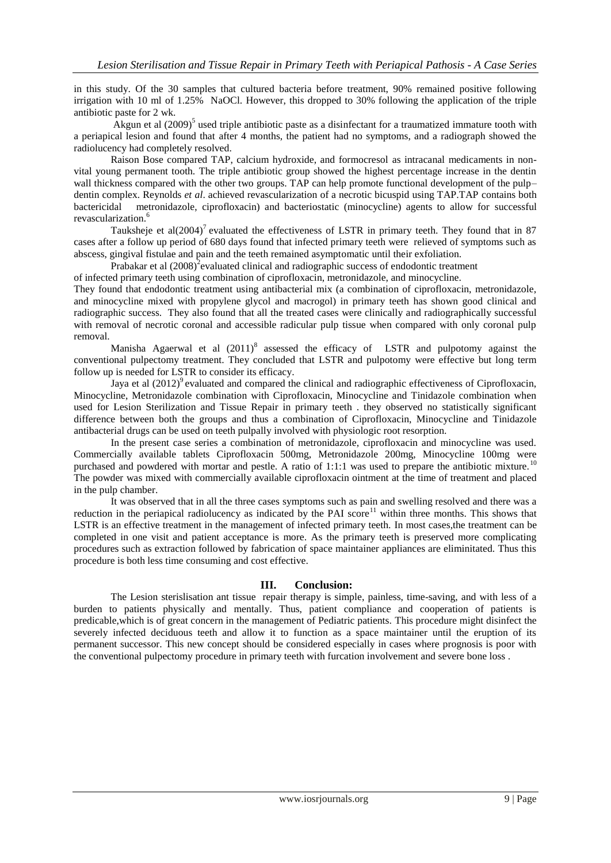in this study. Of the 30 samples that cultured bacteria before treatment, 90% remained positive following irrigation with 10 ml of 1.25% NaOCl. However, this dropped to 30% following the application of the triple antibiotic paste for 2 wk.

Akgun et al  $(2009)^5$  used triple antibiotic paste as a disinfectant for a traumatized immature tooth with a periapical lesion and found that after 4 months, the patient had no symptoms, and a radiograph showed the radiolucency had completely resolved.

Raison Bose compared TAP, calcium hydroxide, and formocresol as intracanal medicaments in nonvital young permanent tooth. The triple antibiotic group showed the highest percentage increase in the dentin wall thickness compared with the other two groups. TAP can help promote functional development of the pulp– dentin complex. Reynolds *et al*. achieved revascularization of a necrotic bicuspid using TAP.TAP contains both bactericidal metronidazole, ciprofloxacin) and bacteriostatic (minocycline) agents to allow for successful revascularization.<sup>6</sup>

Tauksheje et al $(2004)^7$  evaluated the effectiveness of LSTR in primary teeth. They found that in 87 cases after a follow up period of 680 days found that infected primary teeth were relieved of symptoms such as abscess, gingival fistulae and pain and the teeth remained asymptomatic until their exfoliation.

Prabakar et al  $(2008)^2$ evaluated clinical and radiographic success of endodontic treatment

of infected primary teeth using combination of ciprofloxacin, metronidazole, and minocycline.

They found that endodontic treatment using antibacterial mix (a combination of ciprofloxacin, metronidazole, and minocycline mixed with propylene glycol and macrogol) in primary teeth has shown good clinical and radiographic success. They also found that all the treated cases were clinically and radiographically successful with removal of necrotic coronal and accessible radicular pulp tissue when compared with only coronal pulp removal.

Manisha Agaerwal et al  $(2011)^8$  assessed the efficacy of LSTR and pulpotomy against the conventional pulpectomy treatment. They concluded that LSTR and pulpotomy were effective but long term follow up is needed for LSTR to consider its efficacy.

Jaya et al  $(2012)^9$  evaluated and compared the clinical and radiographic effectiveness of Ciprofloxacin, Minocycline, Metronidazole combination with Ciprofloxacin, Minocycline and Tinidazole combination when used for Lesion Sterilization and Tissue Repair in primary teeth . they observed no statistically significant difference between both the groups and thus a combination of Ciprofloxacin, Minocycline and Tinidazole antibacterial drugs can be used on teeth pulpally involved with physiologic root resorption.

In the present case series a combination of metronidazole, ciprofloxacin and minocycline was used. Commercially available tablets Ciprofloxacin 500mg, Metronidazole 200mg, Minocycline 100mg were purchased and powdered with mortar and pestle. A ratio of 1:1:1 was used to prepare the antibiotic mixture.<sup>10</sup> The powder was mixed with commercially available ciprofloxacin ointment at the time of treatment and placed in the pulp chamber.

It was observed that in all the three cases symptoms such as pain and swelling resolved and there was a reduction in the periapical radiolucency as indicated by the PAI score<sup>11</sup> within three months. This shows that LSTR is an effective treatment in the management of infected primary teeth. In most cases,the treatment can be completed in one visit and patient acceptance is more. As the primary teeth is preserved more complicating procedures such as extraction followed by fabrication of space maintainer appliances are eliminitated. Thus this procedure is both less time consuming and cost effective.

## **III. Conclusion:**

The Lesion sterislisation ant tissue repair therapy is simple, painless, time-saving, and with less of a burden to patients physically and mentally. Thus, patient compliance and cooperation of patients is predicable,which is of great concern in the management of Pediatric patients. This procedure might disinfect the severely infected deciduous teeth and allow it to function as a space maintainer until the eruption of its permanent successor. This new concept should be considered especially in cases where prognosis is poor with the conventional pulpectomy procedure in primary teeth with furcation involvement and severe bone loss .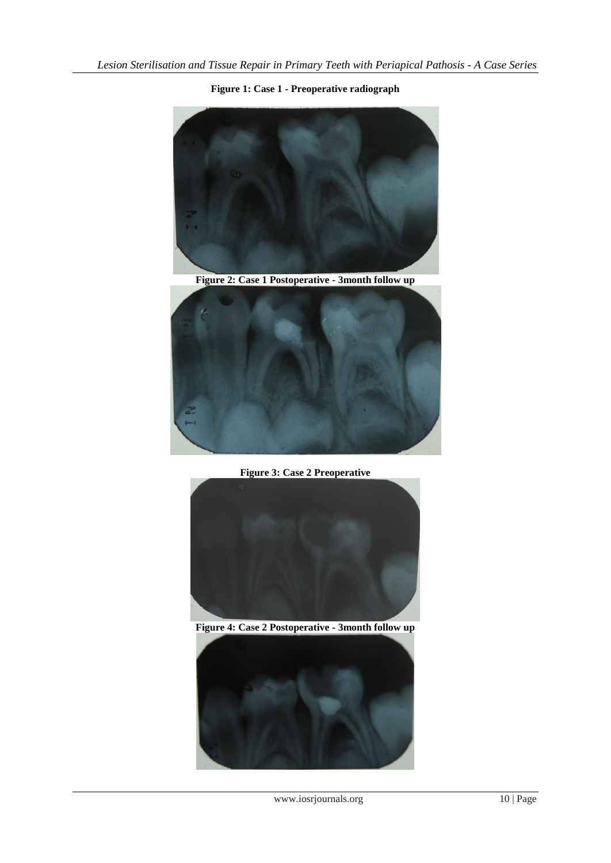



**Figure 2: Case 1 Postoperative - 3month follow up**



**Figure 3: Case 2 Preoperative**



**Figure 4: Case 2 Postoperative - 3month follow up**